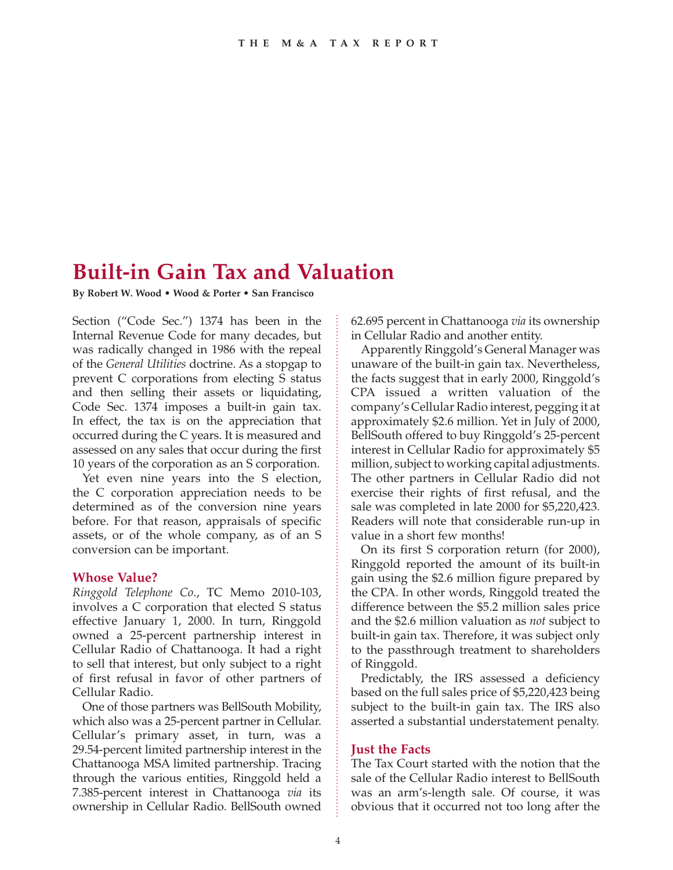## **Built-in Gain Tax and Valuation**

**By Robert W. Wood • Wood & Porter • San Francisco**

Section ("Code Sec.") 1374 has been in the Internal Revenue Code for many decades, but was radically changed in 1986 with the repeal of the *General Utilities* doctrine. As a stopgap to prevent C corporations from electing S status and then selling their assets or liquidating, Code Sec. 1374 imposes a built-in gain tax. In effect, the tax is on the appreciation that occurred during the C years. It is measured and assessed on any sales that occur during the first 10 years of the corporation as an S corporation.

Yet even nine years into the S election, the C corporation appreciation needs to be determined as of the conversion nine years before. For that reason, appraisals of specific assets, or of the whole company, as of an S conversion can be important.

## **Whose Value?**

*Ringgold Telephone Co*., TC Memo 2010-103, involves a C corporation that elected S status effective January 1, 2000. In turn, Ringgold owned a 25-percent partnership interest in Cellular Radio of Chattanooga. It had a right to sell that interest, but only subject to a right of first refusal in favor of other partners of Cellular Radio.

One of those partners was BellSouth Mobility, which also was a 25-percent partner in Cellular. Cellular's primary asset, in turn, was a 29.54-percent limited partnership interest in the Chattanooga MSA limited partnership. Tracing through the various entities, Ringgold held a 7.385-percent interest in Chattanooga *via* its ownership in Cellular Radio. BellSouth owned 62.695 percent in Chattanooga *via* its ownership in Cellular Radio and another entity.

Apparently Ringgold's General Manager was unaware of the built-in gain tax. Nevertheless, the facts suggest that in early 2000, Ringgold's CPA issued a written valuation of the company's Cellular Radio interest, pegging it at approximately \$2.6 million. Yet in July of 2000, BellSouth offered to buy Ringgold's 25-percent interest in Cellular Radio for approximately \$5 million, subject to working capital adjustments. The other partners in Cellular Radio did not exercise their rights of first refusal, and the sale was completed in late 2000 for \$5,220,423. Readers will note that considerable run-up in value in a short few months!

On its first S corporation return (for 2000), Ringgold reported the amount of its built-in gain using the \$2.6 million figure prepared by the CPA. In other words, Ringgold treated the difference between the \$5.2 million sales price and the \$2.6 million valuation as *not* subject to built-in gain tax. Therefore, it was subject only to the passthrough treatment to shareholders of Ringgold.

Predictably, the IRS assessed a deficiency based on the full sales price of \$5,220,423 being subject to the built-in gain tax. The IRS also asserted a substantial understatement penalty.

## **Just the Facts**

The Tax Court started with the notion that the sale of the Cellular Radio interest to BellSouth was an arm's-length sale. Of course, it was obvious that it occurred not too long after the